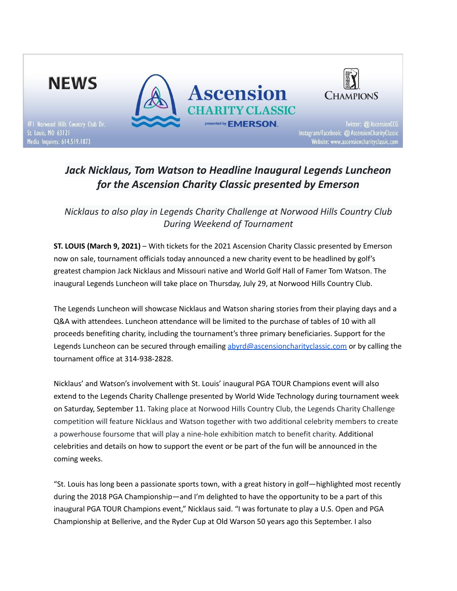

# *Jack Nicklaus, Tom Watson to Headline Inaugural Legends Luncheon for the Ascension Charity Classic presented by Emerson*

*Nicklaus to also play in Legends Charity Challenge at Norwood Hills Country Club During Weekend of Tournament*

**ST. LOUIS (March 9, 2021)** – With tickets for the 2021 Ascension Charity Classic presented by Emerson now on sale, tournament officials today announced a new charity event to be headlined by golf's greatest champion Jack Nicklaus and Missouri native and World Golf Hall of Famer Tom Watson. The inaugural Legends Luncheon will take place on Thursday, July 29, at Norwood Hills Country Club.

The Legends Luncheon will showcase Nicklaus and Watson sharing stories from their playing days and a Q&A with attendees. Luncheon attendance will be limited to the purchase of tables of 10 with all proceeds benefiting charity, including the tournament's three primary beneficiaries. Support for the Legends Luncheon can be secured through emailing [abyrd@ascensioncharityclassic.com](mailto:abyrd@ascensionchairtyclassic.com) or by calling the tournament office at 314-938-2828.

Nicklaus' and Watson's involvement with St. Louis' inaugural PGA TOUR Champions event will also extend to the Legends Charity Challenge presented by World Wide Technology during tournament week on Saturday, September 11. Taking place at Norwood Hills Country Club, the Legends Charity Challenge competition will feature Nicklaus and Watson together with two additional celebrity members to create a powerhouse foursome that will play a nine-hole exhibition match to benefit charity. Additional celebrities and details on how to support the event or be part of the fun will be announced in the coming weeks.

"St. Louis has long been a passionate sports town, with a great history in golf—highlighted most recently during the 2018 PGA Championship—and I'm delighted to have the opportunity to be a part of this inaugural PGA TOUR Champions event," Nicklaus said. "I was fortunate to play a U.S. Open and PGA Championship at Bellerive, and the Ryder Cup at Old Warson 50 years ago this September. I also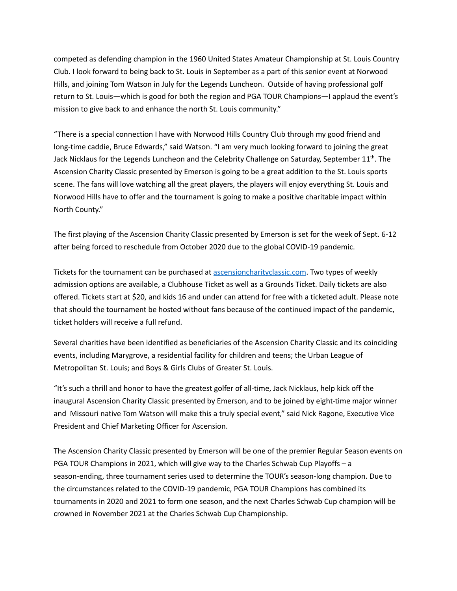competed as defending champion in the 1960 United States Amateur Championship at St. Louis Country Club. I look forward to being back to St. Louis in September as a part of this senior event at Norwood Hills, and joining Tom Watson in July for the Legends Luncheon. Outside of having professional golf return to St. Louis—which is good for both the region and PGA TOUR Champions—I applaud the event's mission to give back to and enhance the north St. Louis community."

"There is a special connection I have with Norwood Hills Country Club through my good friend and long-time caddie, Bruce Edwards," said Watson. "I am very much looking forward to joining the great Jack Nicklaus for the Legends Luncheon and the Celebrity Challenge on Saturday, September 11<sup>th</sup>. The Ascension Charity Classic presented by Emerson is going to be a great addition to the St. Louis sports scene. The fans will love watching all the great players, the players will enjoy everything St. Louis and Norwood Hills have to offer and the tournament is going to make a positive charitable impact within North County."

The first playing of the Ascension Charity Classic presented by Emerson is set for the week of Sept. 6-12 after being forced to reschedule from October 2020 due to the global COVID-19 pandemic.

Tickets for the tournament can be purchased at [ascensioncharityclassic.com](https://www.ascensioncharityclassic.com/). Two types of weekly admission options are available, a Clubhouse Ticket as well as a Grounds Ticket. Daily tickets are also offered. Tickets start at \$20, and kids 16 and under can attend for free with a ticketed adult. Please note that should the tournament be hosted without fans because of the continued impact of the pandemic, ticket holders will receive a full refund.

Several charities have been identified as beneficiaries of the Ascension Charity Classic and its coinciding events, including Marygrove, a residential facility for children and teens; the Urban League of Metropolitan St. Louis; and Boys & Girls Clubs of Greater St. Louis.

"It's such a thrill and honor to have the greatest golfer of all-time, Jack Nicklaus, help kick off the inaugural Ascension Charity Classic presented by Emerson, and to be joined by eight-time major winner and Missouri native Tom Watson will make this a truly special event," said Nick Ragone, Executive Vice President and Chief Marketing Officer for Ascension.

The Ascension Charity Classic presented by Emerson will be one of the premier Regular Season events on PGA TOUR Champions in 2021, which will give way to the Charles Schwab Cup Playoffs – a season-ending, three tournament series used to determine the TOUR's season-long champion. Due to the circumstances related to the COVID-19 pandemic, PGA TOUR Champions has combined its tournaments in 2020 and 2021 to form one season, and the next Charles Schwab Cup champion will be crowned in November 2021 at the Charles Schwab Cup Championship.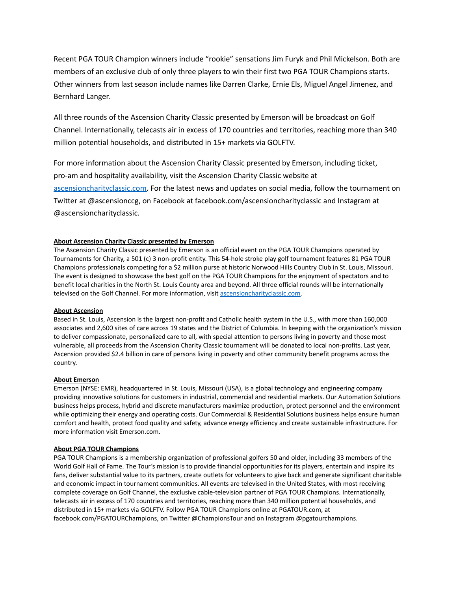Recent PGA TOUR Champion winners include "rookie" sensations Jim Furyk and Phil Mickelson. Both are members of an exclusive club of only three players to win their first two PGA TOUR Champions starts. Other winners from last season include names like Darren Clarke, Ernie Els, Miguel Angel Jimenez, and Bernhard Langer.

All three rounds of the Ascension Charity Classic presented by Emerson will be broadcast on Golf Channel. Internationally, telecasts air in excess of 170 countries and territories, reaching more than 340 million potential households, and distributed in 15+ markets via GOLFTV.

For more information about the Ascension Charity Classic presented by Emerson, including ticket, pro-am and hospitality availability, visit the Ascension Charity Classic website at [ascensioncharityclassic.com.](http://www.ascensioncharityclassic.com) For the latest news and updates on social media, follow the tournament on Twitter at @ascensionccg, on Facebook at facebook.com/ascensioncharityclassic and Instagram at @ascensioncharityclassic.

## **About Ascension Charity Classic presented by Emerson**

The Ascension Charity Classic presented by Emerson is an official event on the PGA TOUR Champions operated by Tournaments for Charity, a 501 (c) 3 non-profit entity. This 54-hole stroke play golf tournament features 81 PGA TOUR Champions professionals competing for a \$2 million purse at historic Norwood Hills Country Club in St. Louis, Missouri. The event is designed to showcase the best golf on the PGA TOUR Champions for the enjoyment of spectators and to benefit local charities in the North St. Louis County area and beyond. All three official rounds will be internationally televised on the Golf Channel. For more information, visit [ascensioncharityclassic.com.](http://www.ascensioncharityclassic.com)

#### **About Ascension**

Based in St. Louis, Ascension is the largest non-profit and Catholic health system in the U.S., with more than 160,000 associates and 2,600 sites of care across 19 states and the District of Columbia. In keeping with the organization's mission to deliver compassionate, personalized care to all, with special attention to persons living in poverty and those most vulnerable, all proceeds from the Ascension Charity Classic tournament will be donated to local non-profits. Last year, Ascension provided \$2.4 billion in care of persons living in poverty and other community benefit programs across the country.

#### **About Emerson**

Emerson (NYSE: EMR), headquartered in St. Louis, Missouri (USA), is a global technology and engineering company providing innovative solutions for customers in industrial, commercial and residential markets. Our Automation Solutions business helps process, hybrid and discrete manufacturers maximize production, protect personnel and the environment while optimizing their energy and operating costs. Our Commercial & Residential Solutions business helps ensure human comfort and health, protect food quality and safety, advance energy efficiency and create sustainable infrastructure. For more information visit [Emerson.com.](https://urldefense.proofpoint.com/v2/url?u=http-3A__www.emerson.com_&d=DwMFAg&c=9wxE0DgWbPxd1HCzjwN8Eaww1--ViDajIU4RXCxgSXE&r=AGkW0IVBuNxnl58hqatvEo-gca2ys_bTzUMIHAcD6u7cOik4ICTsasiEBbGJMwys&m=HP9BeTt8Saj00q9dgt1t-D6WoQ6xpeG4FLzskKmBo7g&s=epHYtC4-xQZDX2Ykly2vSHmbkfSVreLw5XAV3YBt3ss&e=)

#### **About PGA TOUR Champions**

PGA TOUR Champions is a membership organization of professional golfers 50 and older, including 33 members of the World Golf Hall of Fame. The Tour's mission is to provide financial opportunities for its players, entertain and inspire its fans, deliver substantial value to its partners, create outlets for volunteers to give back and generate significant charitable and economic impact in tournament communities. All events are televised in the United States, with most receiving complete coverage on Golf Channel, the exclusive cable-television partner of PGA TOUR Champions. Internationally, telecasts air in excess of 170 countries and territories, reaching more than 340 million potential households, and distributed in 15+ markets via GOLFTV. Follow PGA TOUR Champions online at PGATOUR.com, at facebook.com/PGATOURChampions, on Twitter @ChampionsTour and on Instagram @pgatourchampions.